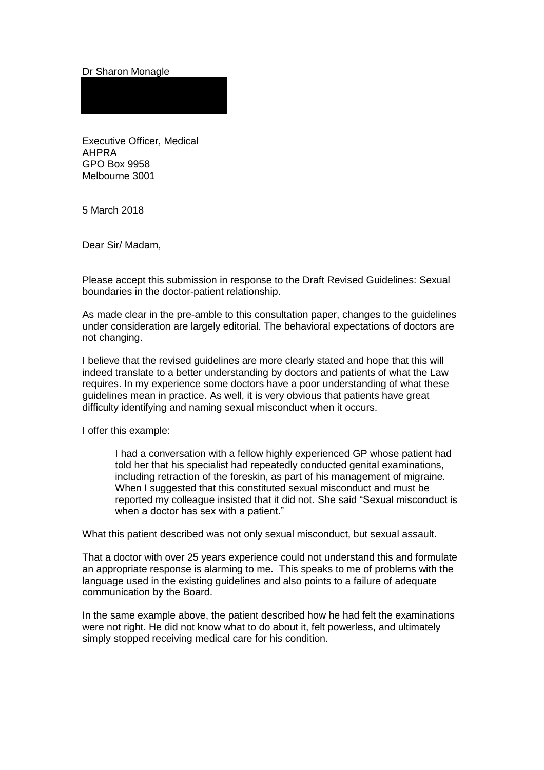## Dr Sharon Monagle

Executive Officer, Medical AHPRA GPO Box 9958 Melbourne 3001

5 March 2018

Dear Sir/ Madam,

Please accept this submission in response to the Draft Revised Guidelines: Sexual boundaries in the doctor-patient relationship.

As made clear in the pre-amble to this consultation paper, changes to the guidelines under consideration are largely editorial. The behavioral expectations of doctors are not changing.

I believe that the revised guidelines are more clearly stated and hope that this will indeed translate to a better understanding by doctors and patients of what the Law requires. In my experience some doctors have a poor understanding of what these guidelines mean in practice. As well, it is very obvious that patients have great difficulty identifying and naming sexual misconduct when it occurs.

I offer this example:

I had a conversation with a fellow highly experienced GP whose patient had told her that his specialist had repeatedly conducted genital examinations, including retraction of the foreskin, as part of his management of migraine. When I suggested that this constituted sexual misconduct and must be reported my colleague insisted that it did not. She said "Sexual misconduct is when a doctor has sex with a patient."

What this patient described was not only sexual misconduct, but sexual assault.

That a doctor with over 25 years experience could not understand this and formulate an appropriate response is alarming to me. This speaks to me of problems with the language used in the existing guidelines and also points to a failure of adequate communication by the Board.

In the same example above, the patient described how he had felt the examinations were not right. He did not know what to do about it, felt powerless, and ultimately simply stopped receiving medical care for his condition.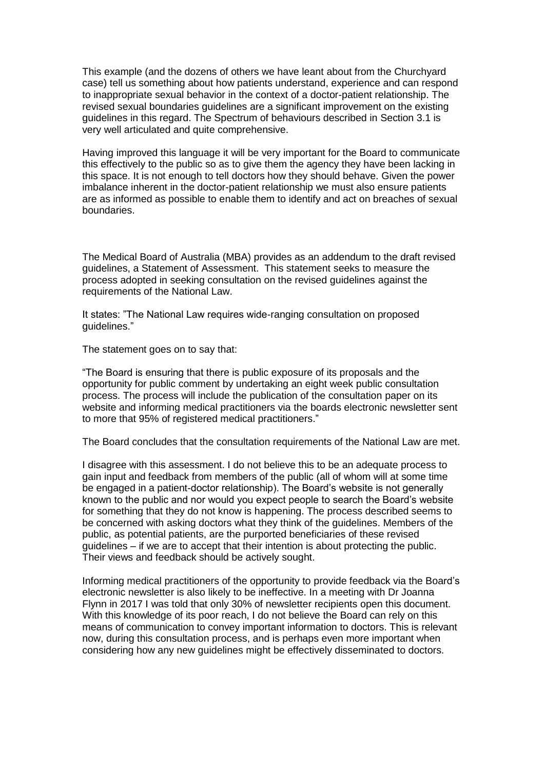This example (and the dozens of others we have leant about from the Churchyard case) tell us something about how patients understand, experience and can respond to inappropriate sexual behavior in the context of a doctor-patient relationship. The revised sexual boundaries guidelines are a significant improvement on the existing guidelines in this regard. The Spectrum of behaviours described in Section 3.1 is very well articulated and quite comprehensive.

Having improved this language it will be very important for the Board to communicate this effectively to the public so as to give them the agency they have been lacking in this space. It is not enough to tell doctors how they should behave. Given the power imbalance inherent in the doctor-patient relationship we must also ensure patients are as informed as possible to enable them to identify and act on breaches of sexual boundaries.

The Medical Board of Australia (MBA) provides as an addendum to the draft revised guidelines, a Statement of Assessment. This statement seeks to measure the process adopted in seeking consultation on the revised guidelines against the requirements of the National Law.

It states: "The National Law requires wide-ranging consultation on proposed guidelines."

The statement goes on to say that:

"The Board is ensuring that there is public exposure of its proposals and the opportunity for public comment by undertaking an eight week public consultation process. The process will include the publication of the consultation paper on its website and informing medical practitioners via the boards electronic newsletter sent to more that 95% of registered medical practitioners."

The Board concludes that the consultation requirements of the National Law are met.

I disagree with this assessment. I do not believe this to be an adequate process to gain input and feedback from members of the public (all of whom will at some time be engaged in a patient-doctor relationship). The Board's website is not generally known to the public and nor would you expect people to search the Board's website for something that they do not know is happening. The process described seems to be concerned with asking doctors what they think of the guidelines. Members of the public, as potential patients, are the purported beneficiaries of these revised guidelines – if we are to accept that their intention is about protecting the public. Their views and feedback should be actively sought.

Informing medical practitioners of the opportunity to provide feedback via the Board's electronic newsletter is also likely to be ineffective. In a meeting with Dr Joanna Flynn in 2017 I was told that only 30% of newsletter recipients open this document. With this knowledge of its poor reach, I do not believe the Board can rely on this means of communication to convey important information to doctors. This is relevant now, during this consultation process, and is perhaps even more important when considering how any new guidelines might be effectively disseminated to doctors.